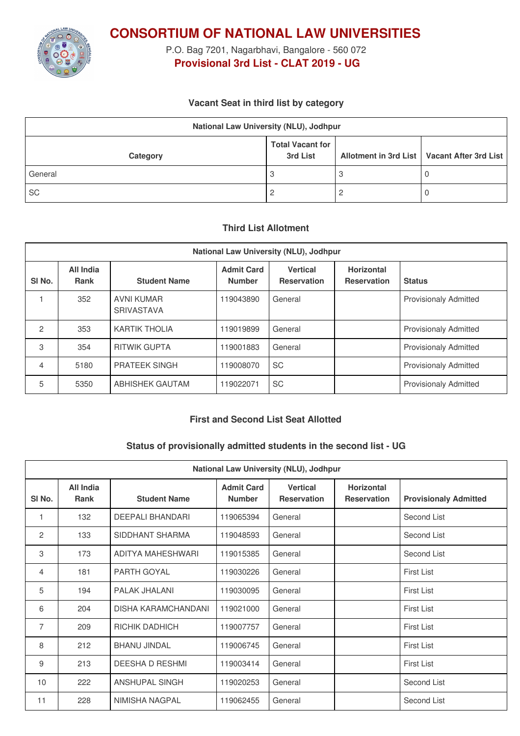

**CONSORTIUM OF NATIONAL LAW UNIVERSITIES**

P.O. Bag 7201, Nagarbhavi, Bangalore - 560 072 **Provisional 3rd List - CLAT 2019 - UG**

### **Vacant Seat in third list by category**

| National Law University (NLU), Jodhpur |                                     |  |                                               |  |  |
|----------------------------------------|-------------------------------------|--|-----------------------------------------------|--|--|
| Category                               | <b>Total Vacant for</b><br>3rd List |  | Allotment in 3rd List   Vacant After 3rd List |  |  |
| General                                |                                     |  | U                                             |  |  |
| <b>SC</b>                              |                                     |  | <b>U</b>                                      |  |  |

#### **Third List Allotment**

| National Law University (NLU), Jodhpur |                          |                                        |                                    |                                       |                                         |                              |
|----------------------------------------|--------------------------|----------------------------------------|------------------------------------|---------------------------------------|-----------------------------------------|------------------------------|
| SI <sub>No.</sub>                      | All India<br><b>Rank</b> | <b>Student Name</b>                    | <b>Admit Card</b><br><b>Number</b> | <b>Vertical</b><br><b>Reservation</b> | <b>Horizontal</b><br><b>Reservation</b> | <b>Status</b>                |
|                                        | 352                      | <b>AVNI KUMAR</b><br><b>SRIVASTAVA</b> | 119043890                          | General                               |                                         | <b>Provisionaly Admitted</b> |
| $\overline{2}$                         | 353                      | <b>KARTIK THOLIA</b>                   | 119019899                          | General                               |                                         | <b>Provisionaly Admitted</b> |
| 3                                      | 354                      | <b>RITWIK GUPTA</b>                    | 119001883                          | General                               |                                         | <b>Provisionaly Admitted</b> |
| 4                                      | 5180                     | <b>PRATEEK SINGH</b>                   | 119008070                          | SC.                                   |                                         | <b>Provisionaly Admitted</b> |
| 5                                      | 5350                     | <b>ABHISHEK GAUTAM</b>                 | 119022071                          | <b>SC</b>                             |                                         | <b>Provisionaly Admitted</b> |

#### **First and Second List Seat Allotted**

# **Status of provisionally admitted students in the second list - UG**

| National Law University (NLU), Jodhpur |                          |                            |                                    |                                       |                                         |                              |
|----------------------------------------|--------------------------|----------------------------|------------------------------------|---------------------------------------|-----------------------------------------|------------------------------|
| SI <sub>No.</sub>                      | <b>All India</b><br>Rank | <b>Student Name</b>        | <b>Admit Card</b><br><b>Number</b> | <b>Vertical</b><br><b>Reservation</b> | <b>Horizontal</b><br><b>Reservation</b> | <b>Provisionaly Admitted</b> |
| 1                                      | 132                      | <b>DEEPALI BHANDARI</b>    | 119065394                          | General                               |                                         | Second List                  |
| 2                                      | 133                      | SIDDHANT SHARMA            | 119048593                          | General                               |                                         | Second List                  |
| 3                                      | 173                      | ADITYA MAHESHWARI          | 119015385                          | General                               |                                         | Second List                  |
| 4                                      | 181                      | PARTH GOYAL                | 119030226                          | General                               |                                         | <b>First List</b>            |
| 5                                      | 194                      | PALAK JHALANI              | 119030095                          | General                               |                                         | <b>First List</b>            |
| 6                                      | 204                      | <b>DISHA KARAMCHANDANI</b> | 119021000                          | General                               |                                         | <b>First List</b>            |
| $\overline{7}$                         | 209                      | RICHIK DADHICH             | 119007757                          | General                               |                                         | First List                   |
| 8                                      | 212                      | <b>BHANU JINDAL</b>        | 119006745                          | General                               |                                         | First List                   |
| 9                                      | 213                      | <b>DEESHA D RESHMI</b>     | 119003414                          | General                               |                                         | <b>First List</b>            |
| 10                                     | 222                      | <b>ANSHUPAL SINGH</b>      | 119020253                          | General                               |                                         | Second List                  |
| 11                                     | 228                      | NIMISHA NAGPAL             | 119062455                          | General                               |                                         | Second List                  |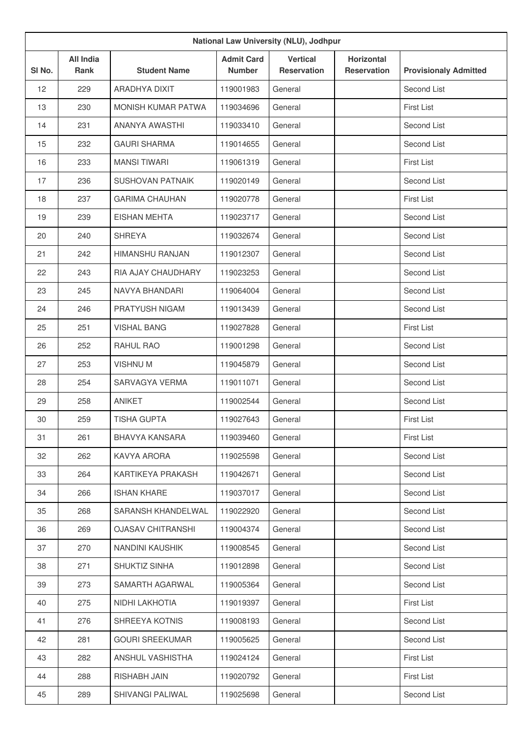| National Law University (NLU), Jodhpur |                          |                          |                                    |                                       |                                         |                              |
|----------------------------------------|--------------------------|--------------------------|------------------------------------|---------------------------------------|-----------------------------------------|------------------------------|
| SI <sub>No.</sub>                      | All India<br><b>Rank</b> | <b>Student Name</b>      | <b>Admit Card</b><br><b>Number</b> | <b>Vertical</b><br><b>Reservation</b> | <b>Horizontal</b><br><b>Reservation</b> | <b>Provisionaly Admitted</b> |
| 12                                     | 229                      | ARADHYA DIXIT            | 119001983                          | General                               |                                         | Second List                  |
| 13                                     | 230                      | MONISH KUMAR PATWA       | 119034696                          | General                               |                                         | <b>First List</b>            |
| 14                                     | 231                      | ANANYA AWASTHI           | 119033410                          | General                               |                                         | Second List                  |
| 15                                     | 232                      | <b>GAURI SHARMA</b>      | 119014655                          | General                               |                                         | Second List                  |
| 16                                     | 233                      | <b>MANSI TIWARI</b>      | 119061319                          | General                               |                                         | <b>First List</b>            |
| 17                                     | 236                      | <b>SUSHOVAN PATNAIK</b>  | 119020149                          | General                               |                                         | Second List                  |
| 18                                     | 237                      | <b>GARIMA CHAUHAN</b>    | 119020778                          | General                               |                                         | First List                   |
| 19                                     | 239                      | <b>EISHAN MEHTA</b>      | 119023717                          | General                               |                                         | Second List                  |
| 20                                     | 240                      | <b>SHREYA</b>            | 119032674                          | General                               |                                         | Second List                  |
| 21                                     | 242                      | <b>HIMANSHU RANJAN</b>   | 119012307                          | General                               |                                         | Second List                  |
| 22                                     | 243                      | RIA AJAY CHAUDHARY       | 119023253                          | General                               |                                         | Second List                  |
| 23                                     | 245                      | NAVYA BHANDARI           | 119064004                          | General                               |                                         | Second List                  |
| 24                                     | 246                      | PRATYUSH NIGAM           | 119013439                          | General                               |                                         | Second List                  |
| 25                                     | 251                      | <b>VISHAL BANG</b>       | 119027828                          | General                               |                                         | <b>First List</b>            |
| 26                                     | 252                      | RAHUL RAO                | 119001298                          | General                               |                                         | Second List                  |
| 27                                     | 253                      | <b>VISHNUM</b>           | 119045879                          | General                               |                                         | Second List                  |
| 28                                     | 254                      | SARVAGYA VERMA           | 119011071                          | General                               |                                         | Second List                  |
| 29                                     | 258                      | <b>ANIKET</b>            | 119002544                          | General                               |                                         | Second List                  |
| 30                                     | 259                      | <b>TISHA GUPTA</b>       | 119027643                          | General                               |                                         | <b>First List</b>            |
| 31                                     | 261                      | BHAVYA KANSARA           | 119039460                          | General                               |                                         | <b>First List</b>            |
| 32                                     | 262                      | KAVYA ARORA              | 119025598                          | General                               |                                         | Second List                  |
| 33                                     | 264                      | KARTIKEYA PRAKASH        | 119042671                          | General                               |                                         | Second List                  |
| 34                                     | 266                      | <b>ISHAN KHARE</b>       | 119037017                          | General                               |                                         | Second List                  |
| 35                                     | 268                      | SARANSH KHANDELWAL       | 119022920                          | General                               |                                         | Second List                  |
| 36                                     | 269                      | <b>OJASAV CHITRANSHI</b> | 119004374                          | General                               |                                         | Second List                  |
| 37                                     | 270                      | NANDINI KAUSHIK          | 119008545                          | General                               |                                         | Second List                  |
| 38                                     | 271                      | SHUKTIZ SINHA            | 119012898                          | General                               |                                         | Second List                  |
| 39                                     | 273                      | SAMARTH AGARWAL          | 119005364                          | General                               |                                         | Second List                  |
| 40                                     | 275                      | NIDHI LAKHOTIA           | 119019397                          | General                               |                                         | First List                   |
| 41                                     | 276                      | SHREEYA KOTNIS           | 119008193                          | General                               |                                         | Second List                  |
| 42                                     | 281                      | <b>GOURI SREEKUMAR</b>   | 119005625                          | General                               |                                         | Second List                  |
| 43                                     | 282                      | ANSHUL VASHISTHA         | 119024124                          | General                               |                                         | <b>First List</b>            |
| 44                                     | 288                      | RISHABH JAIN             | 119020792                          | General                               |                                         | First List                   |
| 45                                     | 289                      | SHIVANGI PALIWAL         | 119025698                          | General                               |                                         | Second List                  |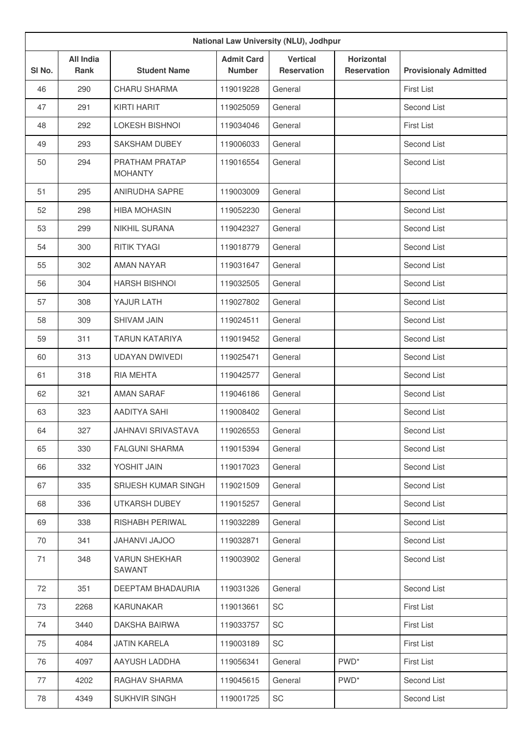| National Law University (NLU), Jodhpur |                                 |                                  |                                    |                                       |                                         |                              |
|----------------------------------------|---------------------------------|----------------------------------|------------------------------------|---------------------------------------|-----------------------------------------|------------------------------|
| SI <sub>No.</sub>                      | <b>All India</b><br><b>Rank</b> | <b>Student Name</b>              | <b>Admit Card</b><br><b>Number</b> | <b>Vertical</b><br><b>Reservation</b> | <b>Horizontal</b><br><b>Reservation</b> | <b>Provisionaly Admitted</b> |
| 46                                     | 290                             | <b>CHARU SHARMA</b>              | 119019228                          | General                               |                                         | <b>First List</b>            |
| 47                                     | 291                             | <b>KIRTI HARIT</b>               | 119025059                          | General                               |                                         | Second List                  |
| 48                                     | 292                             | <b>LOKESH BISHNOI</b>            | 119034046                          | General                               |                                         | <b>First List</b>            |
| 49                                     | 293                             | <b>SAKSHAM DUBEY</b>             | 119006033                          | General                               |                                         | Second List                  |
| 50                                     | 294                             | PRATHAM PRATAP<br><b>MOHANTY</b> | 119016554                          | General                               |                                         | Second List                  |
| 51                                     | 295                             | <b>ANIRUDHA SAPRE</b>            | 119003009                          | General                               |                                         | Second List                  |
| 52                                     | 298                             | <b>HIBA MOHASIN</b>              | 119052230                          | General                               |                                         | Second List                  |
| 53                                     | 299                             | NIKHIL SURANA                    | 119042327                          | General                               |                                         | Second List                  |
| 54                                     | 300                             | <b>RITIK TYAGI</b>               | 119018779                          | General                               |                                         | Second List                  |
| 55                                     | 302                             | <b>AMAN NAYAR</b>                | 119031647                          | General                               |                                         | Second List                  |
| 56                                     | 304                             | <b>HARSH BISHNOI</b>             | 119032505                          | General                               |                                         | Second List                  |
| 57                                     | 308                             | YAJUR LATH                       | 119027802                          | General                               |                                         | Second List                  |
| 58                                     | 309                             | <b>SHIVAM JAIN</b>               | 119024511                          | General                               |                                         | Second List                  |
| 59                                     | 311                             | <b>TARUN KATARIYA</b>            | 119019452                          | General                               |                                         | Second List                  |
| 60                                     | 313                             | <b>UDAYAN DWIVEDI</b>            | 119025471                          | General                               |                                         | Second List                  |
| 61                                     | 318                             | <b>RIA MEHTA</b>                 | 119042577                          | General                               |                                         | Second List                  |
| 62                                     | 321                             | <b>AMAN SARAF</b>                | 119046186                          | General                               |                                         | Second List                  |
| 63                                     | 323                             | <b>AADITYA SAHI</b>              | 119008402                          | General                               |                                         | Second List                  |
| 64                                     | 327                             | <b>JAHNAVI SRIVASTAVA</b>        | 119026553                          | General                               |                                         | Second List                  |
| 65                                     | 330                             | <b>FALGUNI SHARMA</b>            | 119015394                          | General                               |                                         | Second List                  |
| 66                                     | 332                             | YOSHIT JAIN                      | 119017023                          | General                               |                                         | Second List                  |
| 67                                     | 335                             | SRIJESH KUMAR SINGH              | 119021509                          | General                               |                                         | Second List                  |
| 68                                     | 336                             | UTKARSH DUBEY                    | 119015257                          | General                               |                                         | Second List                  |
| 69                                     | 338                             | RISHABH PERIWAL                  | 119032289                          | General                               |                                         | Second List                  |
| 70                                     | 341                             | <b>OOLAU IVAHAU</b>              | 119032871                          | General                               |                                         | Second List                  |
| 71                                     | 348                             | <b>VARUN SHEKHAR</b><br>SAWANT   | 119003902                          | General                               |                                         | Second List                  |
| 72                                     | 351                             | DEEPTAM BHADAURIA                | 119031326                          | General                               |                                         | Second List                  |
| 73                                     | 2268                            | KARUNAKAR                        | 119013661                          | SC                                    |                                         | First List                   |
| 74                                     | 3440                            | DAKSHA BAIRWA                    | 119033757                          | SC                                    |                                         | First List                   |
| 75                                     | 4084                            | <b>JATIN KARELA</b>              | 119003189                          | SC                                    |                                         | First List                   |
| 76                                     | 4097                            | AAYUSH LADDHA                    | 119056341                          | General                               | PWD <sup>*</sup>                        | First List                   |
| 77                                     | 4202                            | RAGHAV SHARMA                    | 119045615                          | General                               | PWD <sup>*</sup>                        | Second List                  |
| 78                                     | 4349                            | <b>SUKHVIR SINGH</b>             | 119001725                          | SC                                    |                                         | Second List                  |